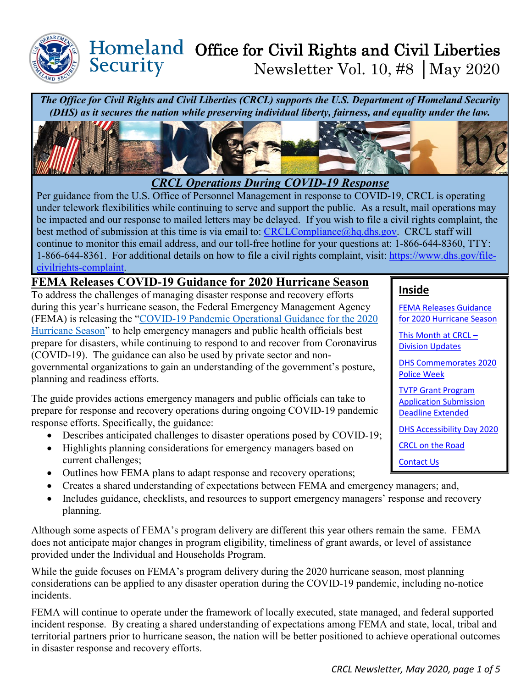

## Homeland Office for Civil Rights and Civil Liberties Security Newsletter Vol. 10, #8 │May 2020

*The Office for Civil Rights and Civil Liberties (CRCL) supports the U.S. Department of Homeland Security (DHS) as it secures the nation while preserving individual liberty, fairness, and equality under the law.* 



*CRCL Operations During COVID-19 Response*

Per guidance from the U.S. Office of Personnel Management in response to COVID-19, CRCL is operating under telework flexibilities while continuing to serve and support the public. As a result, mail operations may be impacted and our response to mailed letters may be delayed. If you wish to file a civil rights complaint, the best method of submission at this time is via email to: [CRCLCompliance@hq.dhs.gov.](mailto:CRCLCompliance@hq.dhs.gov) CRCL staff will continue to monitor this email address, and our toll-free hotline for your questions at: 1-866-644-8360, TTY: 1-866-644-8361. For additional details on how to file a civil rights complaint, visit: [https://www.dhs.gov/file](https://www.dhs.gov/file-civilrights-complaint)[civilrights-complaint.](https://www.dhs.gov/file-civilrights-complaint)

## **FEMA Releases COVID-19 Guidance for 2020 Hurricane Season**

To address the challenges of managing disaster response and recovery efforts during this year's hurricane season, the Federal Emergency Management Agency (FEMA) is releasing the ["COVID-19 Pandemic Operational Guidance for the 2020](https://www.fema.gov/media-library/assets/documents/188203)  [Hurricane Season"](https://www.fema.gov/media-library/assets/documents/188203) to help emergency managers and public health officials best prepare for disasters, while continuing to respond to and recover from Coronavirus (COVID-19). The guidance can also be used by private sector and nongovernmental organizations to gain an understanding of the government's posture, planning and readiness efforts.

The guide provides actions emergency managers and public officials can take to prepare for response and recovery operations during ongoing COVID-19 pandemic response efforts. Specifically, the guidance:

- Describes anticipated challenges to disaster operations posed by COVID-19;
- Highlights planning considerations for emergency managers based on current challenges;
- Outlines how FEMA plans to adapt response and recovery operations;
- Creates a shared understanding of expectations between FEMA and emergency managers; and,
- Includes guidance, checklists, and resources to support emergency managers' response and recovery planning.

Although some aspects of FEMA's program delivery are different this year others remain the same. FEMA does not anticipate major changes in program eligibility, timeliness of grant awards, or level of assistance provided under the Individual and Households Program.

While the guide focuses on FEMA's program delivery during the 2020 hurricane season, most planning considerations can be applied to any disaster operation during the COVID-19 pandemic, including no-notice incidents.

FEMA will continue to operate under the framework of locally executed, state managed, and federal supported incident response. By creating a shared understanding of expectations among FEMA and state, local, tribal and territorial partners prior to hurricane season, the nation will be better positioned to achieve operational outcomes in disaster response and recovery efforts.

# **Inside**

FEMA Releases Guidance for 2020 Hurricane Season

[This Month at CRCL –](#page-1-0)  [Division Updates](#page-1-0)

[DHS Commemorates 2020](#page-2-0)  [Police Week](#page-2-0) 

[TVTP Grant Program](#page-2-1)  [Application Submission](#page-2-1)  [Deadline Extended](#page-2-1)

[DHS Accessibility Day 2020](#page-2-2)

[CRCL on the Road](#page-3-0)

[Contact Us](#page-4-0)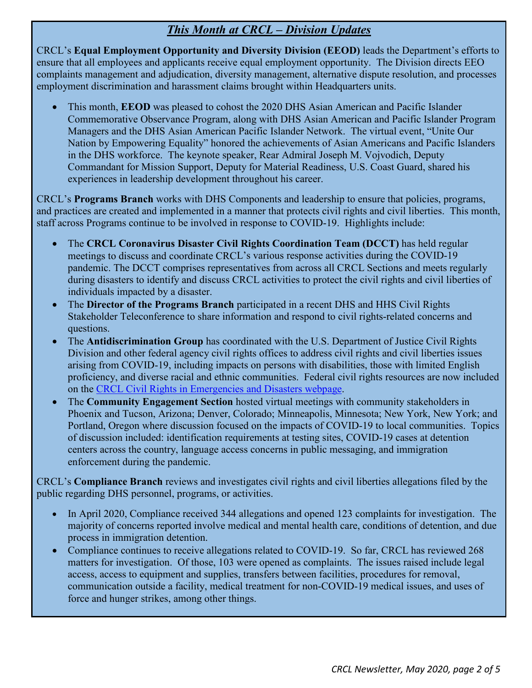# *This Month at CRCL – Division Updates*

<span id="page-1-0"></span>CRCL's **Equal Employment Opportunity and Diversity Division (EEOD)** leads the Department's efforts to ensure that all employees and applicants receive equal employment opportunity. The Division directs EEO complaints management and adjudication, diversity management, alternative dispute resolution, and processes employment discrimination and harassment claims brought within Headquarters units.

• This month, **EEOD** was pleased to cohost the 2020 DHS Asian American and Pacific Islander Commemorative Observance Program, along with DHS Asian American and Pacific Islander Program Managers and the DHS Asian American Pacific Islander Network. The virtual event, "Unite Our Nation by Empowering Equality" honored the achievements of Asian Americans and Pacific Islanders in the DHS workforce. The keynote speaker, Rear Admiral Joseph M. Vojvodich, Deputy Commandant for Mission Support, Deputy for Material Readiness, U.S. Coast Guard, shared his experiences in leadership development throughout his career.

CRCL's **Programs Branch** works with DHS Components and leadership to ensure that policies, programs, and practices are created and implemented in a manner that protects civil rights and civil liberties. This month, staff across Programs continue to be involved in response to COVID-19. Highlights include:

- The **CRCL Coronavirus Disaster Civil Rights Coordination Team (DCCT)** has held regular meetings to discuss and coordinate CRCL's various response activities during the COVID-19 pandemic. The DCCT comprises representatives from across all CRCL Sections and meets regularly during disasters to identify and discuss CRCL activities to protect the civil rights and civil liberties of individuals impacted by a disaster.
- The **Director of the Programs Branch** participated in a recent DHS and HHS Civil Rights Stakeholder Teleconference to share information and respond to civil rights-related concerns and questions.
- The **Antidiscrimination Group** has coordinated with the U.S. Department of Justice Civil Rights Division and other federal agency civil rights offices to address civil rights and civil liberties issues arising from COVID-19, including impacts on persons with disabilities, those with limited English proficiency, and diverse racial and ethnic communities. Federal civil rights resources are now included on the [CRCL Civil Rights in Emergencies and Disasters webpage.](https://www.dhs.gov/civil-rights-emergencies-and-disasters)
- The **Community Engagement Section** hosted virtual meetings with community stakeholders in Phoenix and Tucson, Arizona; Denver, Colorado; Minneapolis, Minnesota; New York, New York; and Portland, Oregon where discussion focused on the impacts of COVID-19 to local communities. Topics of discussion included: identification requirements at testing sites, COVID-19 cases at detention centers across the country, language access concerns in public messaging, and immigration enforcement during the pandemic.

CRCL's **Compliance Branch** reviews and investigates civil rights and civil liberties allegations filed by the public regarding DHS personnel, programs, or activities.

- In April 2020, Compliance received 344 allegations and opened 123 complaints for investigation. The majority of concerns reported involve medical and mental health care, conditions of detention, and due process in immigration detention.
- Compliance continues to receive allegations related to COVID-19. So far, CRCL has reviewed 268 matters for investigation. Of those, 103 were opened as complaints. The issues raised include legal access, access to equipment and supplies, transfers between facilities, procedures for removal, communication outside a facility, medical treatment for non-COVID-19 medical issues, and uses of force and hunger strikes, among other things.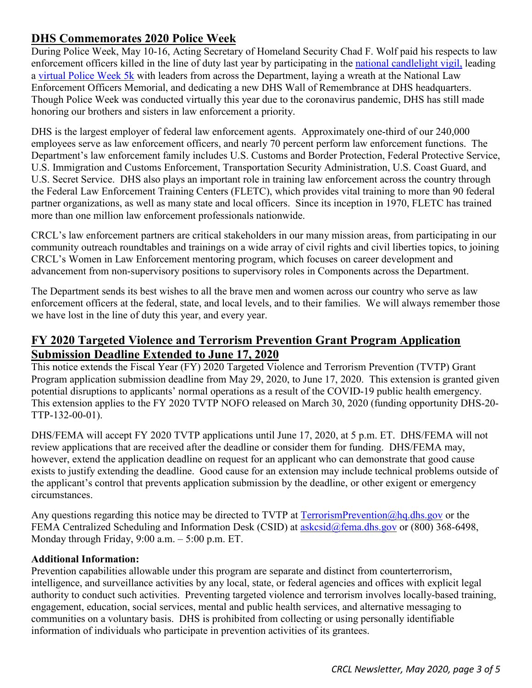## <span id="page-2-0"></span>**DHS Commemorates 2020 Police Week**

During Police Week, May 10-16, Acting Secretary of Homeland Security Chad F. Wolf paid his respects to law enforcement officers killed in the line of duty last year by participating in the [national candlelight vigil,](https://lnks.gd/l/eyJhbGciOiJIUzI1NiJ9.eyJidWxsZXRpbl9saW5rX2lkIjoxMDAsInVyaSI6ImJwMjpjbGljayIsImJ1bGxldGluX2lkIjoiMjAyMDA1MTYuMjE2MjM1ODEiLCJ1cmwiOiJodHRwczovL25sZW9tZi5vcmcvcHJvZ3JhbXMtZXZlbnRzL25hdGlvbmFsLXBvbGljZS13ZWVrL2NhbmRsZWxpZ2h0LXZpZ2lsIn0.mT_gobWUVH3Jvdo6ujWoSuZAdWAXzeWvy6G6_AR8JSg/br/78757184411-l) leading a [virtual Police Week 5k](https://lnks.gd/l/eyJhbGciOiJIUzI1NiJ9.eyJidWxsZXRpbl9saW5rX2lkIjoxMDEsInVyaSI6ImJwMjpjbGljayIsImJ1bGxldGluX2lkIjoiMjAyMDA1MTYuMjE2MjM1ODEiLCJ1cmwiOiJodHRwczovL3d3dy5kaHMuZ292L2Jsb2cvMjAyMC8wNS8xNC9wb2xpY2Utd2Vlay0yMDIwLWRocy1sZWFkZXJzLXJ1bi1ob25vci1sYXctZW5mb3JjZW1lbnQifQ.XFejG3r28FBRixH6QM8KxTdDJ4J2sPoTbe8pv5zHif4/br/78757184411-l) with leaders from across the Department, laying a wreath at the National Law Enforcement Officers Memorial, and dedicating a new DHS Wall of Remembrance at DHS headquarters. Though Police Week was conducted virtually this year due to the coronavirus pandemic, DHS has still made honoring our brothers and sisters in law enforcement a priority.

DHS is the largest employer of federal law enforcement agents. Approximately one-third of our 240,000 employees serve as law enforcement officers, and nearly 70 percent perform law enforcement functions. The Department's law enforcement family includes U.S. Customs and Border Protection, Federal Protective Service, U.S. Immigration and Customs Enforcement, Transportation Security Administration, U.S. Coast Guard, and U.S. Secret Service. DHS also plays an important role in training law enforcement across the country through the Federal Law Enforcement Training Centers (FLETC), which provides vital training to more than 90 federal partner organizations, as well as many state and local officers. Since its inception in 1970, FLETC has trained more than one million law enforcement professionals nationwide.

CRCL's law enforcement partners are critical stakeholders in our many mission areas, from participating in our community outreach roundtables and trainings on a wide array of civil rights and civil liberties topics, to joining CRCL's Women in Law Enforcement mentoring program, which focuses on career development and advancement from non-supervisory positions to supervisory roles in Components across the Department.

The Department sends its best wishes to all the brave men and women across our country who serve as law enforcement officers at the federal, state, and local levels, and to their families. We will always remember those we have lost in the line of duty this year, and every year.

# <span id="page-2-1"></span>**FY 2020 Targeted Violence and Terrorism Prevention Grant Program Application Submission Deadline Extended to June 17, 2020**

This notice extends the Fiscal Year (FY) 2020 Targeted Violence and Terrorism Prevention (TVTP) Grant Program application submission deadline from May 29, 2020, to June 17, 2020. This extension is granted given potential disruptions to applicants' normal operations as a result of the COVID-19 public health emergency. This extension applies to the FY 2020 TVTP NOFO released on March 30, 2020 (funding opportunity DHS-20- TTP-132-00-01).

DHS/FEMA will accept FY 2020 TVTP applications until June 17, 2020, at 5 p.m. ET. DHS/FEMA will not review applications that are received after the deadline or consider them for funding. DHS/FEMA may, however, extend the application deadline on request for an applicant who can demonstrate that good cause exists to justify extending the deadline. Good cause for an extension may include technical problems outside of the applicant's control that prevents application submission by the deadline, or other exigent or emergency circumstances.

Any questions regarding this notice may be directed to TVTP at  $TerrorismPrevention@hq.dhs.gov$  or the FEMA Centralized Scheduling and Information Desk (CSID) at [askcsid@fema.dhs.gov](mailto:askcsid@fema.dhs.gov) or (800) 368-6498, Monday through Friday, 9:00 a.m. – 5:00 p.m. ET.

### **Additional Information:**

<span id="page-2-2"></span>Prevention capabilities allowable under this program are separate and distinct from counterterrorism, intelligence, and surveillance activities by any local, state, or federal agencies and offices with explicit legal authority to conduct such activities. Preventing targeted violence and terrorism involves locally-based training, engagement, education, social services, mental and public health services, and alternative messaging to communities on a voluntary basis. DHS is prohibited from collecting or using personally identifiable information of individuals who participate in prevention activities of its grantees.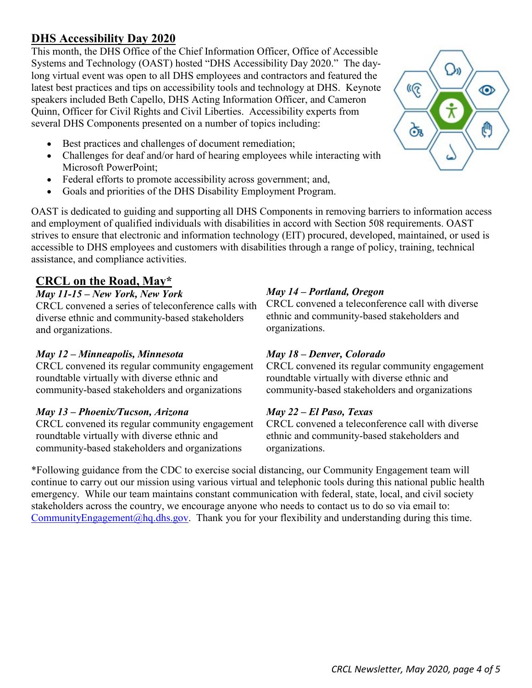# **DHS Accessibility Day 2020**

This month, the DHS Office of the Chief Information Officer, Office of Accessible Systems and Technology (OAST) hosted "DHS Accessibility Day 2020." The daylong virtual event was open to all DHS employees and contractors and featured the latest best practices and tips on accessibility tools and technology at DHS. Keynote speakers included Beth Capello, DHS Acting Information Officer, and Cameron Quinn, Officer for Civil Rights and Civil Liberties. Accessibility experts from several DHS Components presented on a number of topics including:

- Best practices and challenges of document remediation;
- Challenges for deaf and/or hard of hearing employees while interacting with Microsoft PowerPoint;
- Federal efforts to promote accessibility across government; and,
- Goals and priorities of the DHS Disability Employment Program.

OAST is dedicated to guiding and supporting all DHS Components in removing barriers to information access and employment of qualified individuals with disabilities in accord with Section 508 requirements. OAST strives to ensure that electronic and information technology (EIT) procured, developed, maintained, or used is accessible to DHS employees and customers with disabilities through a range of policy, training, technical assistance, and compliance activities.

# <span id="page-3-0"></span>**CRCL on the Road, May\***

### *May 11-15 – New York, New York*

CRCL convened a series of teleconference calls with diverse ethnic and community-based stakeholders and organizations.

### *May 12 – Minneapolis, Minnesota*

CRCL convened its regular community engagement roundtable virtually with diverse ethnic and community-based stakeholders and organizations

### *May 13 – Phoenix/Tucson, Arizona*

CRCL convened its regular community engagement roundtable virtually with diverse ethnic and community-based stakeholders and organizations

## *May 14 – Portland, Oregon*

CRCL convened a teleconference call with diverse ethnic and community-based stakeholders and organizations.

### *May 18 – Denver, Colorado*

CRCL convened its regular community engagement roundtable virtually with diverse ethnic and community-based stakeholders and organizations

### *May 22 – El Paso, Texas*

CRCL convened a teleconference call with diverse ethnic and community-based stakeholders and organizations.

\*Following guidance from the CDC to exercise social distancing, our Community Engagement team will continue to carry out our mission using various virtual and telephonic tools during this national public health emergency. While our team maintains constant communication with federal, state, local, and civil society stakeholders across the country, we encourage anyone who needs to contact us to do so via email to: [CommunityEngagement@hq.dhs.gov.](mailto:CommunityEngagement@hq.dhs.gov) Thank you for your flexibility and understanding during this time.